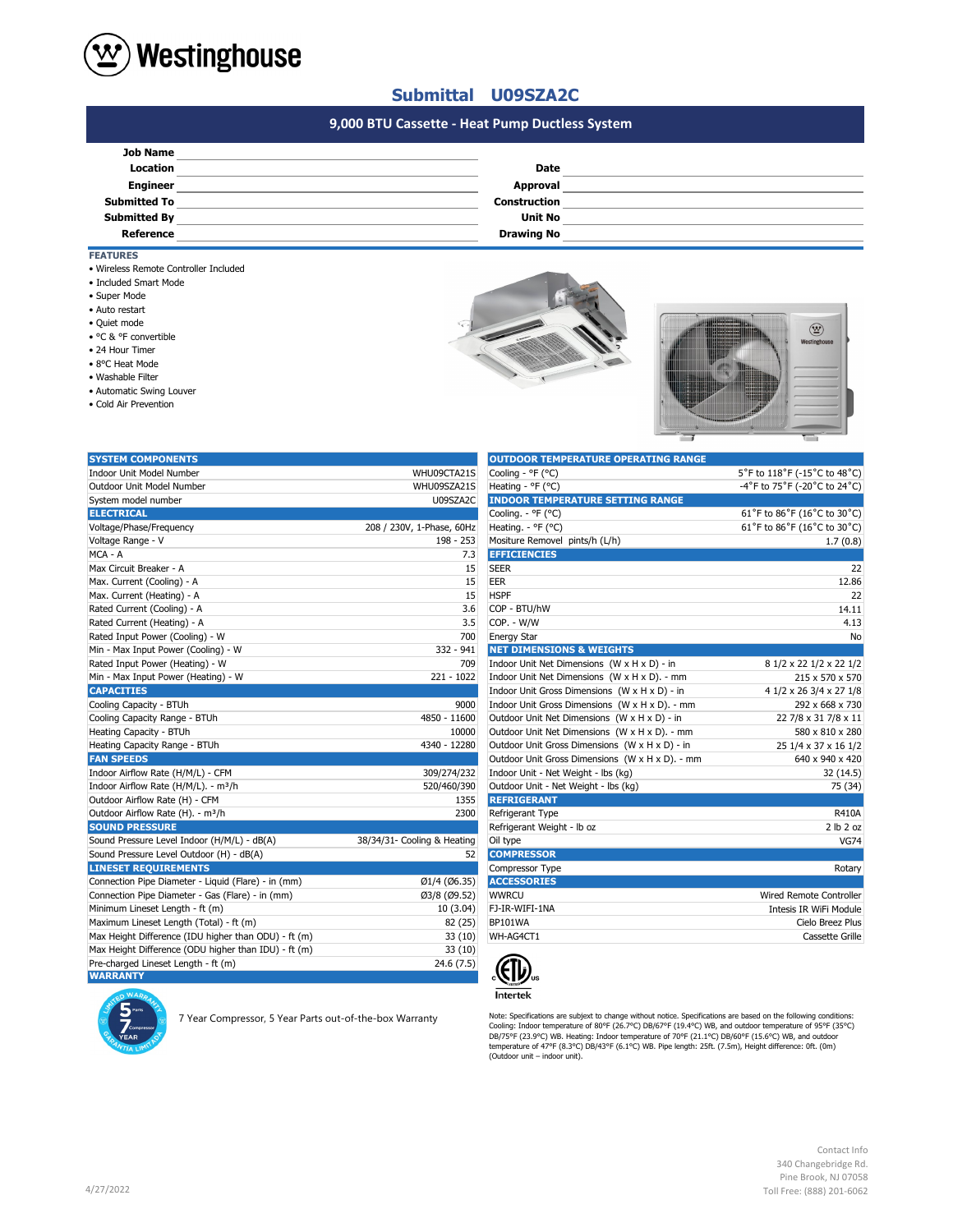

## **Submittal U09SZA2C**

## **#N/A #N/A 9,000 BTU Cassette - Heat Pump Ductless System**

| <b>Job Name</b>     |                     |  |
|---------------------|---------------------|--|
| Location            | <b>Date</b>         |  |
| <b>Engineer</b>     | Approval            |  |
| <b>Submitted To</b> | <b>Construction</b> |  |
| <b>Submitted By</b> | <b>Unit No</b>      |  |
| Reference           | <b>Drawing No</b>   |  |
|                     |                     |  |

- **FEATURES**
- Wireless Remote Controller Included
- Included Smart Mode
- Super Mode
- Auto restart
- Quiet mode
- °C & °F convertible
- 24 Hour Timer
- 8°C Heat Mode
- Washable Filter
- Automatic Swing Louver
- Cold Air Prevention





| <b>SYSTEM COMPONENTS</b>                             |                             | <b>OUTDOOR TEMPERATURE OPERATING RANGE</b>      |                              |
|------------------------------------------------------|-----------------------------|-------------------------------------------------|------------------------------|
| <b>Indoor Unit Model Number</b>                      | WHU09CTA21S                 | Cooling - °F (°C)                               | 5°F to 118°F (-15°C to 48°C) |
| Outdoor Unit Model Number                            | WHU09SZA21S                 | Heating - ${}^{\circ}$ F ( ${}^{\circ}$ C)      | -4°F to 75°F (-20°C to 24°C) |
| System model number                                  | U09SZA2C                    | <b>INDOOR TEMPERATURE SETTING RANGE</b>         |                              |
| <b>ELECTRICAL</b>                                    |                             | Cooling. - °F (°C)                              | 61°F to 86°F (16°C to 30°C)  |
| Voltage/Phase/Frequency                              | 208 / 230V, 1-Phase, 60Hz   | Heating. - °F (°C)                              | 61°F to 86°F (16°C to 30°C)  |
| Voltage Range - V                                    | 198 - 253                   | Mositure Removel pints/h (L/h)                  | 1.7(0.8)                     |
| MCA - A                                              | 7.3                         | <b>EFFICIENCIES</b>                             |                              |
| Max Circuit Breaker - A                              | 15                          | <b>SEER</b>                                     | 22                           |
| Max. Current (Cooling) - A                           | 15                          | <b>EER</b>                                      | 12.86                        |
| Max. Current (Heating) - A                           | 15                          | <b>HSPF</b>                                     | 22                           |
| Rated Current (Cooling) - A                          | 3.6                         | COP - BTU/hW                                    | 14.11                        |
| Rated Current (Heating) - A                          | 3.5                         | COP. - W/W                                      | 4.13                         |
| Rated Input Power (Cooling) - W                      | 700                         | <b>Energy Star</b>                              | No                           |
| Min - Max Input Power (Cooling) - W                  | $332 - 941$                 | <b>NET DIMENSIONS &amp; WEIGHTS</b>             |                              |
| Rated Input Power (Heating) - W                      | 709                         | Indoor Unit Net Dimensions (W x H x D) - in     | 8 1/2 x 22 1/2 x 22 1/2      |
| Min - Max Input Power (Heating) - W                  | $221 - 1022$                | Indoor Unit Net Dimensions (W x H x D). - mm    | 215 x 570 x 570              |
| <b>CAPACITIES</b>                                    |                             | Indoor Unit Gross Dimensions (W x H x D) - in   | 4 1/2 x 26 3/4 x 27 1/8      |
| Cooling Capacity - BTUh                              | 9000                        | Indoor Unit Gross Dimensions (W x H x D). - mm  | 292 x 668 x 730              |
| Cooling Capacity Range - BTUh                        | 4850 - 11600                | Outdoor Unit Net Dimensions (W x H x D) - in    | 22 7/8 x 31 7/8 x 11         |
| Heating Capacity - BTUh                              | 10000                       | Outdoor Unit Net Dimensions (W x H x D). - mm   | 580 x 810 x 280              |
| Heating Capacity Range - BTUh                        | 4340 - 12280                | Outdoor Unit Gross Dimensions (W x H x D) - in  | 25 1/4 x 37 x 16 1/2         |
| <b>FAN SPEEDS</b>                                    |                             | Outdoor Unit Gross Dimensions (W x H x D). - mm | 640 x 940 x 420              |
| Indoor Airflow Rate (H/M/L) - CFM                    | 309/274/232                 | Indoor Unit - Net Weight - lbs (kg)             | 32 (14.5)                    |
| Indoor Airflow Rate (H/M/L). - m <sup>3</sup> /h     | 520/460/390                 | Outdoor Unit - Net Weight - Ibs (kg)            | 75 (34)                      |
| Outdoor Airflow Rate (H) - CFM                       | 1355                        | <b>REFRIGERANT</b>                              |                              |
| Outdoor Airflow Rate (H). - m <sup>3</sup> /h        | 2300                        | Refrigerant Type                                | <b>R410A</b>                 |
| <b>SOUND PRESSURE</b>                                |                             | Refrigerant Weight - Ib oz                      | 2 lb 2 oz                    |
| Sound Pressure Level Indoor (H/M/L) - dB(A)          | 38/34/31- Cooling & Heating | Oil type                                        | <b>VG74</b>                  |
| Sound Pressure Level Outdoor (H) - dB(A)             | 52                          | <b>COMPRESSOR</b>                               |                              |
| <b>LINESET REQUIREMENTS</b>                          |                             | Compressor Type                                 | Rotary                       |
| Connection Pipe Diameter - Liquid (Flare) - in (mm)  | Ø1/4 (Ø6.35)                | <b>ACCESSORIES</b>                              |                              |
| Connection Pipe Diameter - Gas (Flare) - in (mm)     | Ø3/8 (Ø9.52)                | <b>WWRCU</b>                                    | Wired Remote Controller      |
| Minimum Lineset Length - ft (m)                      | 10(3.04)                    | FJ-IR-WIFI-1NA                                  | Intesis IR WiFi Module       |
| Maximum Lineset Length (Total) - ft (m)              | 82 (25)                     | BP101WA                                         | Cielo Breez Plus             |
| Max Height Difference (IDU higher than ODU) - ft (m) | 33(10)                      | WH-AG4CT1                                       | Cassette Grille              |
| Max Height Difference (ODU higher than IDU) - ft (m) | 33(10)                      |                                                 |                              |
| Pre-charged Lineset Length - ft (m)                  | 24.6(7.5)                   |                                                 |                              |
| <b>WARRANTY</b>                                      |                             | JI7.                                            |                              |

7 Year Compressor, 5 Year Parts out-of-the-box Warranty

| UUTDUUK TEMPERATURE UPERATING RANGE             |                              |
|-------------------------------------------------|------------------------------|
| Cooling - °F (°C)                               | 5°F to 118°F (-15°C to 48°C) |
| Heating - °F (°C)                               | -4°F to 75°F (-20°C to 24°C) |
| <b>INDOOR TEMPERATURE SETTING RANGE</b>         |                              |
| Cooling. - °F (°C)                              | 61°F to 86°F (16°C to 30°C)  |
| Heating. - °F (°C)                              | 61°F to 86°F (16°C to 30°C)  |
| Mositure Removel pints/h (L/h)                  | 1.7(0.8)                     |
| <b>EFFICIENCIES</b>                             |                              |
| <b>SEER</b>                                     | 22                           |
| <b>EER</b>                                      | 12.86                        |
| <b>HSPF</b>                                     | 22                           |
| COP - BTU/hW                                    | 14.11                        |
| COP. - W/W                                      | 4.13                         |
| <b>Energy Star</b>                              | No                           |
| <b>NET DIMENSIONS &amp; WEIGHTS</b>             |                              |
| Indoor Unit Net Dimensions (W x H x D) - in     | 8 1/2 x 22 1/2 x 22 1/2      |
| Indoor Unit Net Dimensions (W x H x D). - mm    | 215 x 570 x 570              |
| Indoor Unit Gross Dimensions (W x H x D) - in   | 4 1/2 x 26 3/4 x 27 1/8      |
| Indoor Unit Gross Dimensions (W x H x D). - mm  | 292 x 668 x 730              |
| Outdoor Unit Net Dimensions (W x H x D) - in    | 22 7/8 x 31 7/8 x 11         |
| Outdoor Unit Net Dimensions (W x H x D). - mm   | 580 x 810 x 280              |
| Outdoor Unit Gross Dimensions (W x H x D) - in  | 25 1/4 x 37 x 16 1/2         |
| Outdoor Unit Gross Dimensions (W x H x D). - mm | 640 x 940 x 420              |
| Indoor Unit - Net Weight - lbs (kg)             | 32 (14.5)                    |
| Outdoor Unit - Net Weight - lbs (kg)            | 75 (34)                      |
| <b>REFRIGERANT</b>                              |                              |
| Refrigerant Type                                | R410A                        |
| Refrigerant Weight - Ib oz                      | 2 lb 2 oz                    |
| Oil type                                        | <b>VG74</b>                  |
| <b>COMPRESSOR</b>                               |                              |
| Compressor Type                                 | Rotary                       |
| <b>ACCESSORIES</b>                              |                              |
| <b>WWRCU</b>                                    | Wired Remote Controller      |
| FJ-IR-WIFI-1NA                                  | Intesis IR WiFi Module       |
| BP101WA                                         | Cielo Breez Plus             |
| WH-AG4CT1                                       | Cassette Grille              |
|                                                 |                              |



Note: Specifications are subjext to change without notice. Specifications are based on the following conditions:<br>Cooling: Indoor temperature of 80°F (26.7°C) DB/67°F (19.4°C) WB, and outdoor temperature of 95°F (35°C)<br>DB/7

Contact Info 340 Changebridge Rd. Pine Brook, NJ 07058 Toll Free: (888) 201-6062